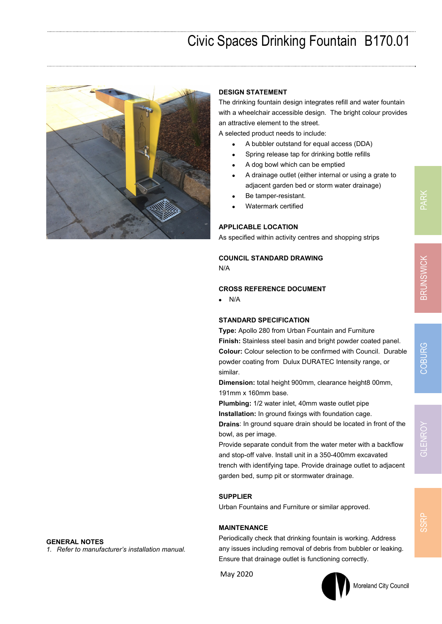# Civic Spaces Drinking Fountain B170.01



**GENERAL NOTES** 

*1. Refer to manufacturer's installation manual.* 

#### **DESIGN STATEMENT**

The drinking fountain design integrates refill and water fountain with a wheelchair accessible design. The bright colour provides an attractive element to the street.

A selected product needs to include:

- A bubbler outstand for equal access (DDA)
- Spring release tap for drinking bottle refills
- A dog bowl which can be emptied
- A drainage outlet (either internal or using a grate to adjacent garden bed or storm water drainage)
- Be tamper-resistant.
- Watermark certified

## **APPLICABLE LOCATION**

As specified within activity centres and shopping strips

## **COUNCIL STANDARD DRAWING**

N/A

#### **CROSS REFERENCE DOCUMENT**

 $\bullet$  N/A

#### **STANDARD SPECIFICATION**

**Type:** Apollo 280 from Urban Fountain and Furniture **Finish:** Stainless steel basin and bright powder coated panel. **Colour:** Colour selection to be confirmed with Council. Durable powder coating from Dulux DURATEC Intensity range, or similar.

**Dimension:** total height 900mm, clearance height8 00mm, 191mm x 160mm base.

**Plumbing:** 1/2 water inlet, 40mm waste outlet pipe

**Installation:** In ground fixings with foundation cage.

**Drains**: In ground square drain should be located in front of the bowl, as per image.

Provide separate conduit from the water meter with a backflow and stop-off valve. Install unit in a 350-400mm excavated trench with identifying tape. Provide drainage outlet to adjacent garden bed, sump pit or stormwater drainage.

#### **SUPPLIER**

Urban Fountains and Furniture or similar approved.

#### **MAINTENANCE**

Periodically check that drinking fountain is working. Address any issues including removal of debris from bubbler or leaking. Ensure that drainage outlet is functioning correctly.

May 2020



# Moreland City Council

**SSRP**